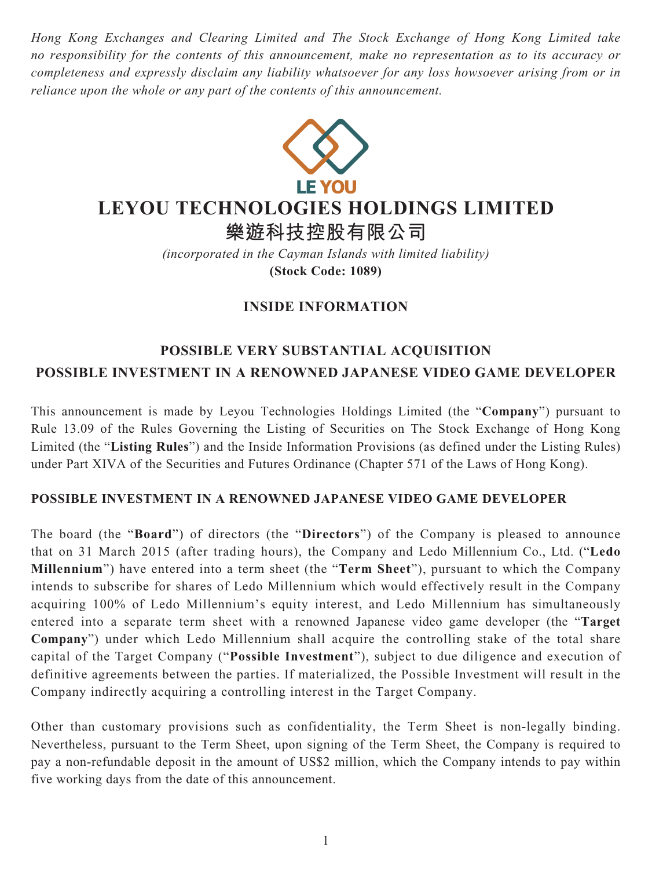*Hong Kong Exchanges and Clearing Limited and The Stock Exchange of Hong Kong Limited take no responsibility for the contents of this announcement, make no representation as to its accuracy or completeness and expressly disclaim any liability whatsoever for any loss howsoever arising from or in reliance upon the whole or any part of the contents of this announcement.*



# **LEYOU TECHNOLOGIES HOLDINGS LIMITED**

**樂遊科技控股有限公司**

*(incorporated in the Cayman Islands with limited liability)* **(Stock Code: 1089)**

# **INSIDE INFORMATION**

# **POSSIBLE VERY SUBSTANTIAL ACQUISITION POSSIBLE INVESTMENT IN A RENOWNED JAPANESE VIDEO GAME DEVELOPER**

This announcement is made by Leyou Technologies Holdings Limited (the "**Company**") pursuant to Rule 13.09 of the Rules Governing the Listing of Securities on The Stock Exchange of Hong Kong Limited (the "**Listing Rules**") and the Inside Information Provisions (as defined under the Listing Rules) under Part XIVA of the Securities and Futures Ordinance (Chapter 571 of the Laws of Hong Kong).

# **POSSIBLE INVESTMENT IN A RENOWNED JAPANESE VIDEO GAME DEVELOPER**

The board (the "**Board**") of directors (the "**Directors**") of the Company is pleased to announce that on 31 March 2015 (after trading hours), the Company and Ledo Millennium Co., Ltd. ("**Ledo Millennium**") have entered into a term sheet (the "**Term Sheet**"), pursuant to which the Company intends to subscribe for shares of Ledo Millennium which would effectively result in the Company acquiring 100% of Ledo Millennium's equity interest, and Ledo Millennium has simultaneously entered into a separate term sheet with a renowned Japanese video game developer (the "**Target Company**") under which Ledo Millennium shall acquire the controlling stake of the total share capital of the Target Company ("**Possible Investment**"), subject to due diligence and execution of definitive agreements between the parties. If materialized, the Possible Investment will result in the Company indirectly acquiring a controlling interest in the Target Company.

Other than customary provisions such as confidentiality, the Term Sheet is non-legally binding. Nevertheless, pursuant to the Term Sheet, upon signing of the Term Sheet, the Company is required to pay a non-refundable deposit in the amount of US\$2 million, which the Company intends to pay within five working days from the date of this announcement.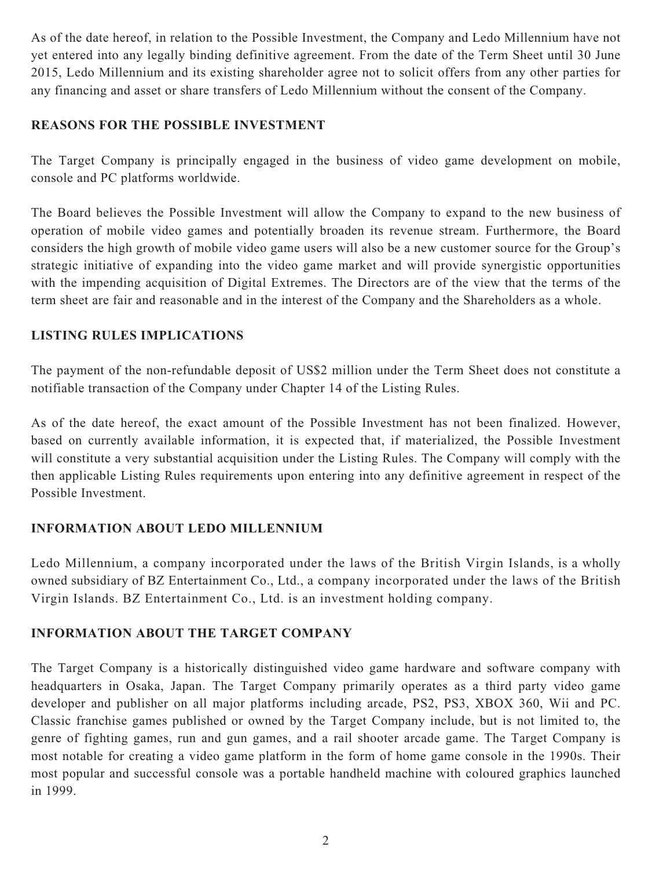As of the date hereof, in relation to the Possible Investment, the Company and Ledo Millennium have not yet entered into any legally binding definitive agreement. From the date of the Term Sheet until 30 June 2015, Ledo Millennium and its existing shareholder agree not to solicit offers from any other parties for any financing and asset or share transfers of Ledo Millennium without the consent of the Company.

#### **REASONS FOR THE POSSIBLE INVESTMENT**

The Target Company is principally engaged in the business of video game development on mobile, console and PC platforms worldwide.

The Board believes the Possible Investment will allow the Company to expand to the new business of operation of mobile video games and potentially broaden its revenue stream. Furthermore, the Board considers the high growth of mobile video game users will also be a new customer source for the Group's strategic initiative of expanding into the video game market and will provide synergistic opportunities with the impending acquisition of Digital Extremes. The Directors are of the view that the terms of the term sheet are fair and reasonable and in the interest of the Company and the Shareholders as a whole.

# **LISTING RULES IMPLICATIONS**

The payment of the non-refundable deposit of US\$2 million under the Term Sheet does not constitute a notifiable transaction of the Company under Chapter 14 of the Listing Rules.

As of the date hereof, the exact amount of the Possible Investment has not been finalized. However, based on currently available information, it is expected that, if materialized, the Possible Investment will constitute a very substantial acquisition under the Listing Rules. The Company will comply with the then applicable Listing Rules requirements upon entering into any definitive agreement in respect of the Possible Investment.

# **INFORMATION ABOUT LEDO MILLENNIUM**

Ledo Millennium, a company incorporated under the laws of the British Virgin Islands, is a wholly owned subsidiary of BZ Entertainment Co., Ltd., a company incorporated under the laws of the British Virgin Islands. BZ Entertainment Co., Ltd. is an investment holding company.

# **INFORMATION ABOUT THE TARGET COMPANY**

The Target Company is a historically distinguished video game hardware and software company with headquarters in Osaka, Japan. The Target Company primarily operates as a third party video game developer and publisher on all major platforms including arcade, PS2, PS3, XBOX 360, Wii and PC. Classic franchise games published or owned by the Target Company include, but is not limited to, the genre of fighting games, run and gun games, and a rail shooter arcade game. The Target Company is most notable for creating a video game platform in the form of home game console in the 1990s. Their most popular and successful console was a portable handheld machine with coloured graphics launched in 1999.